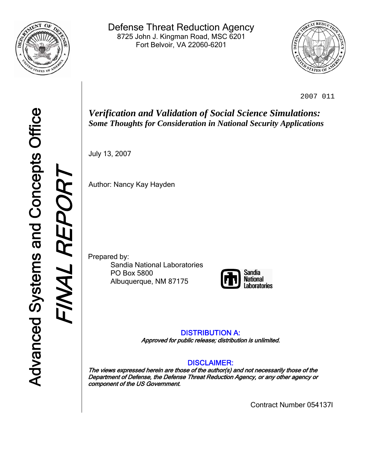

Defense Threat Reduction Agency 8725 John J. Kingman Road, MSC 6201 Fort Belvoir, VA 22060-6201



2007 011

*Verification and Validation of Social Science Simulations: Some Thoughts for Consideration in National Security Applications*

July 13, 2007

Author: Nancy Kay Hayden

Prepared by: Sandia National Laboratories PO Box 5800 Albuquerque, NM 87175



## DISTRIBUTION A: Approved for public release; distribution is unlimited.

# DISCLAIMER:

The views expressed herein are those of the author(s) and not necessarily those of the Department of Defense, the Defense Threat Reduction Agency, or any other agency or component of the US Government.

Contract Number 054137I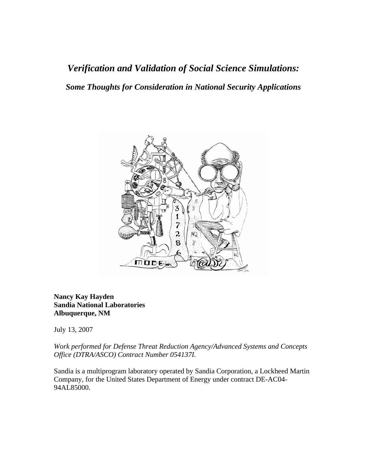*Verification and Validation of Social Science Simulations: Some Thoughts for Consideration in National Security Applications* 



**Nancy Kay Hayden Sandia National Laboratories Albuquerque, NM** 

July 13, 2007

*Work performed for Defense Threat Reduction Agency/Advanced Systems and Concepts Office (DTRA/ASCO) Contract Number 054137I.* 

Sandia is a multiprogram laboratory operated by Sandia Corporation, a Lockheed Martin Company, for the United States Department of Energy under contract DE-AC04- 94AL85000.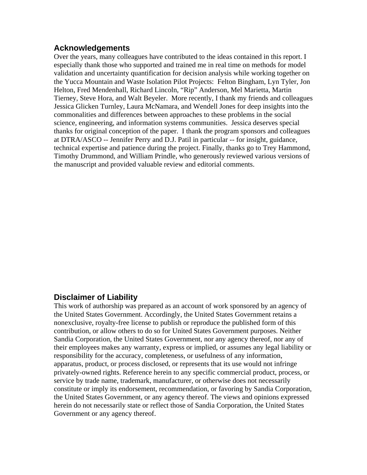## **Acknowledgements**

Over the years, many colleagues have contributed to the ideas contained in this report. I especially thank those who supported and trained me in real time on methods for model validation and uncertainty quantification for decision analysis while working together on the Yucca Mountain and Waste Isolation Pilot Projects: Felton Bingham, Lyn Tyler, Jon Helton, Fred Mendenhall, Richard Lincoln, "Rip" Anderson, Mel Marietta, Martin Tierney, Steve Hora, and Walt Beyeler. More recently, I thank my friends and colleagues Jessica Glicken Turnley, Laura McNamara, and Wendell Jones for deep insights into the commonalities and differences between approaches to these problems in the social science, engineering, and information systems communities. Jessica deserves special thanks for original conception of the paper. I thank the program sponsors and colleagues at DTRA/ASCO -- Jennifer Perry and D.J. Patil in particular -- for insight, guidance, technical expertise and patience during the project. Finally, thanks go to Trey Hammond, Timothy Drummond, and William Prindle, who generously reviewed various versions of the manuscript and provided valuable review and editorial comments.

# **Disclaimer of Liability**

This work of authorship was prepared as an account of work sponsored by an agency of the United States Government. Accordingly, the United States Government retains a nonexclusive, royalty-free license to publish or reproduce the published form of this contribution, or allow others to do so for United States Government purposes. Neither Sandia Corporation, the United States Government, nor any agency thereof, nor any of their employees makes any warranty, express or implied, or assumes any legal liability or responsibility for the accuracy, completeness, or usefulness of any information, apparatus, product, or process disclosed, or represents that its use would not infringe privately-owned rights. Reference herein to any specific commercial product, process, or service by trade name, trademark, manufacturer, or otherwise does not necessarily constitute or imply its endorsement, recommendation, or favoring by Sandia Corporation, the United States Government, or any agency thereof. The views and opinions expressed herein do not necessarily state or reflect those of Sandia Corporation, the United States Government or any agency thereof.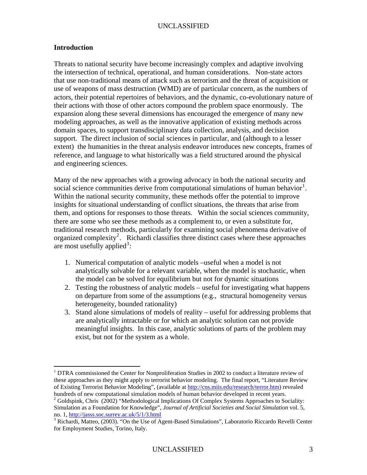#### **Introduction**

1

Threats to national security have become increasingly complex and adaptive involving the intersection of technical, operational, and human considerations. Non-state actors that use non-traditional means of attack such as terrorism and the threat of acquisition or use of weapons of mass destruction (WMD) are of particular concern, as the numbers of actors, their potential repertoires of behaviors, and the dynamic, co-evolutionary nature of their actions with those of other actors compound the problem space enormously. The expansion along these several dimensions has encouraged the emergence of many new modeling approaches, as well as the innovative application of existing methods across domain spaces, to support transdisciplinary data collection, analysis, and decision support. The direct inclusion of social sciences in particular, and (although to a lesser extent) the humanities in the threat analysis endeavor introduces new concepts, frames of reference, and language to what historically was a field structured around the physical and engineering sciences.

Many of the new approaches with a growing advocacy in both the national security and social science communities derive from computational simulations of human behavior<sup>[1](#page-3-0)</sup>. Within the national security community, these methods offer the potential to improve insights for situational understanding of conflict situations, the threats that arise from them, and options for responses to those threats. Within the social sciences community, there are some who see these methods as a complement to, or even a substitute for, traditional research methods, particularly for examining social phenomena derivative of organized complexity<sup>[2](#page-3-1)</sup>. Richardi classifies three distinct cases where these approaches are most usefully applied<sup>[3](#page-3-2)</sup>:

- 1. Numerical computation of analytic models –useful when a model is not analytically solvable for a relevant variable, when the model is stochastic, when the model can be solved for equilibrium but not for dynamic situations
- 2. Testing the robustness of analytic models useful for investigating what happens on departure from some of the assumptions (e.g., structural homogeneity versus heterogeneity, bounded rationality)
- 3. Stand alone simulations of models of reality useful for addressing problems that are analytically intractable or for which an analytic solution can not provide meaningful insights. In this case, analytic solutions of parts of the problem may exist, but not for the system as a whole.

<span id="page-3-0"></span><sup>&</sup>lt;sup>1</sup> DTRA commissioned the Center for Nonproliferation Studies in 2002 to conduct a literature review of these approaches as they might apply to terrorist behavior modeling. The final report, "Literature Review of Existing Terrorist Behavior Modeling", (available at<http://cns.miis.edu/research/terror.htm>) revealed hundreds of new computational simulation models of human behavior developed in recent years.

<span id="page-3-1"></span> $2^{2}$  Goldspink, Chris (2002) "Methodological Implications Of Complex Systems Approaches to Sociality: Simulation as a Foundation for Knowledge", *Journal of Artificial Societies and Social Simulation* vol. 5, no. 1,<http://jasss.soc.surrey.ac.uk/5/1/3.html> 3

<span id="page-3-2"></span><sup>&</sup>lt;sup>3</sup> Richardi, Matteo, (2003). "On the Use of Agent-Based Simulations", Laboratorio Riccardo Revelli Center for Employment Studies, Torino, Italy.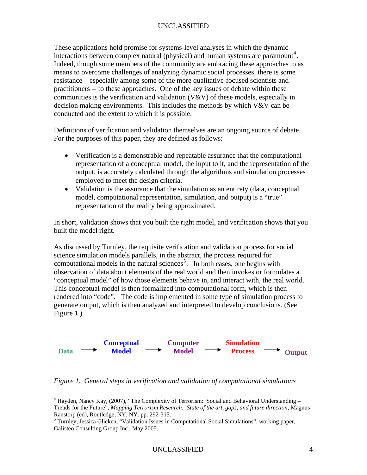These applications hold promise for systems-level analyses in which the dynamic interactions between complex natural (physical) and human systems are paramount<sup>[4](#page-4-0)</sup>. Indeed, though some members of the community are embracing these approaches to as means to overcome challenges of analyzing dynamic social processes, there is some resistance – especially among some of the more qualitative-focused scientists and practitioners -- to these approaches. One of the key issues of debate within these communities is the verification and validation  $(V&V)$  of these models, especially in decision making environments. This includes the methods by which V&V can be conducted and the extent to which it is possible.

Definitions of verification and validation themselves are an ongoing source of debate. For the purposes of this paper, they are defined as follows:

- Verification is a demonstrable and repeatable assurance that the computational representation of a conceptual model, the input to it, and the representation of the output, is accurately calculated through the algorithms and simulation processes employed to meet the design criteria.
- Validation is the assurance that the simulation as an entirety (data, conceptual model, computational representation, simulation, and output) is a "true" representation of the reality being approximated.

In short, validation shows that you built the right model, and verification shows that you built the model right.

As discussed by Turnley, the requisite verification and validation process for social science simulation models parallels, in the abstract, the process required for computational models in the natural sciences<sup>[5](#page-4-1)</sup>. In both cases, one begins with observation of data about elements of the real world and then invokes or formulates a "conceptual model" of how those elements behave in, and interact with, the real world. This conceptual model is then formalized into computational form, which is then rendered into "code". The code is implemented in some type of simulation process to generate output, which is then analyzed and interpreted to develop conclusions. (See Figure 1.)



*Figure 1. General steps in verification and validation of computational simulations* 

<span id="page-4-0"></span><sup>&</sup>lt;sup>4</sup> Hayden, Nancy Kay, (2007), "The Complexity of Terrorism: Social and Behavioral Understanding – Trends for the Future", *Mapping Terrorism Research: State of the art, gaps, and future direction,* Magnus Ranstorp (ed), Routledge, NY, NY. pp. 292-315.

<span id="page-4-1"></span><sup>&</sup>lt;sup>5</sup> Turnley, Jessica Glicken, "Validation Issues in Computational Social Simulations", working paper, Galisteo Consulting Group Inc., May 2005.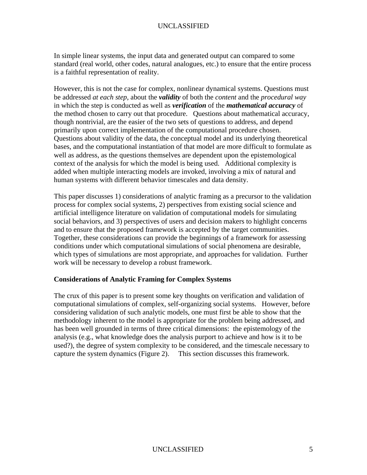In simple linear systems, the input data and generated output can compared to some standard (real world, other codes, natural analogues, etc.) to ensure that the entire process is a faithful representation of reality.

However, this is not the case for complex, nonlinear dynamical systems. Questions must be addressed *at each step*, about the *validity* of both the *content* and the *procedural way* in which the step is conducted as well as *verification* of the *mathematical accuracy* of the method chosen to carry out that procedure. Questions about mathematical accuracy, though nontrivial, are the easier of the two sets of questions to address, and depend primarily upon correct implementation of the computational procedure chosen. Questions about validity of the data, the conceptual model and its underlying theoretical bases, and the computational instantiation of that model are more difficult to formulate as well as address, as the questions themselves are dependent upon the epistemological context of the analysis for which the model is being used. Additional complexity is added when multiple interacting models are invoked, involving a mix of natural and human systems with different behavior timescales and data density.

This paper discusses 1) considerations of analytic framing as a precursor to the validation process for complex social systems, 2) perspectives from existing social science and artificial intelligence literature on validation of computational models for simulating social behaviors, and 3) perspectives of users and decision makers to highlight concerns and to ensure that the proposed framework is accepted by the target communities. Together, these considerations can provide the beginnings of a framework for assessing conditions under which computational simulations of social phenomena are desirable, which types of simulations are most appropriate, and approaches for validation. Further work will be necessary to develop a robust framework.

#### **Considerations of Analytic Framing for Complex Systems**

The crux of this paper is to present some key thoughts on verification and validation of computational simulations of complex, self-organizing social systems. However, before considering validation of such analytic models, one must first be able to show that the methodology inherent to the model is appropriate for the problem being addressed, and has been well grounded in terms of three critical dimensions: the epistemology of the analysis (e.g., what knowledge does the analysis purport to achieve and how is it to be used?), the degree of system complexity to be considered, and the timescale necessary to capture the system dynamics (Figure 2). This section discusses this framework.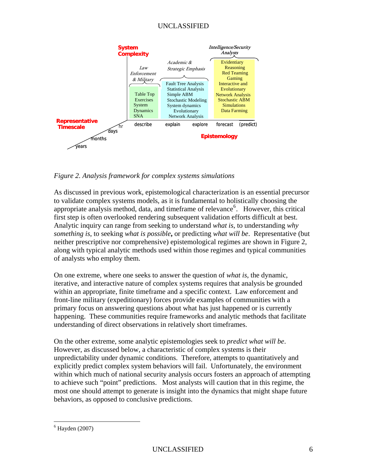

*Figure 2. Analysis framework for complex systems simulations* 

As discussed in previous work, epistemological characterization is an essential precursor to validate complex systems models, as it is fundamental to holistically choosing the appropriate analysis method, data, and timeframe of relevance<sup>[6](#page-6-0)</sup>. However, this critical first step is often overlooked rendering subsequent validation efforts difficult at best. Analytic inquiry can range from seeking to understand *what is*, to understanding *why something is*, to seeking *what is possible***,** or predicting *what will be*. Representative (but neither prescriptive nor comprehensive) epistemological regimes are shown in Figure 2, along with typical analytic methods used within those regimes and typical communities of analysts who employ them.

On one extreme, where one seeks to answer the question of *what is*, the dynamic, iterative, and interactive nature of complex systems requires that analysis be grounded within an appropriate, finite timeframe and a specific context. Law enforcement and front-line military (expeditionary) forces provide examples of communities with a primary focus on answering questions about what has just happened or is currently happening. These communities require frameworks and analytic methods that facilitate understanding of direct observations in relatively short timeframes.

On the other extreme, some analytic epistemologies seek to *predict what will be*. However, as discussed below, a characteristic of complex systems is their unpredictability under dynamic conditions. Therefore, attempts to quantitatively and explicitly predict complex system behaviors will fail. Unfortunately, the environment within which much of national security analysis occurs fosters an approach of attempting to achieve such "point" predictions. Most analysts will caution that in this regime, the most one should attempt to generate is insight into the dynamics that might shape future behaviors, as opposed to conclusive predictions.

<span id="page-6-0"></span><sup>6</sup> Hayden (2007)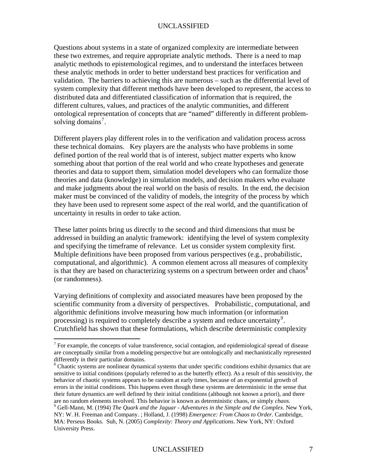Questions about systems in a state of organized complexity are intermediate between these two extremes, and require appropriate analytic methods. There is a need to map analytic methods to epistemological regimes, and to understand the interfaces between these analytic methods in order to better understand best practices for verification and validation. The barriers to achieving this are numerous – such as the differential level of system complexity that different methods have been developed to represent, the access to distributed data and differentiated classification of information that is required, the different cultures, values, and practices of the analytic communities, and different ontological representation of concepts that are "named" differently in different problem-solving domains<sup>[7](#page-7-0)</sup>.

Different players play different roles in to the verification and validation process across these technical domains. Key players are the analysts who have problems in some defined portion of the real world that is of interest, subject matter experts who know something about that portion of the real world and who create hypotheses and generate theories and data to support them, simulation model developers who can formalize those theories and data (knowledge) in simulation models, and decision makers who evaluate and make judgments about the real world on the basis of results. In the end, the decision maker must be convinced of the validity of models, the integrity of the process by which they have been used to represent some aspect of the real world, and the quantification of uncertainty in results in order to take action.

These latter points bring us directly to the second and third dimensions that must be addressed in building an analytic framework: identifying the level of system complexity and specifying the timeframe of relevance. Let us consider system complexity first. Multiple definitions have been proposed from various perspectives (e.g., probabilistic, computational, and algorithmic). A common element across all measures of complexity is that they are based on characterizing systems on a spectrum between order and chaos<sup>[8](#page-7-1)</sup> (or randomness).

Varying definitions of complexity and associated measures have been proposed by the scientific community from a diversity of perspectives. Probabilistic, computational, and algorithmic definitions involve measuring how much information (or information processing) is required to completely describe a system and reduce uncertainty<sup>[9](#page-7-2)</sup>. Crutchfield has shown that these formulations, which describe deterministic complexity

<span id="page-7-0"></span> $7$  For example, the concepts of value transference, social contagion, and epidemiological spread of disease are conceptually similar from a modeling perspective but are ontologically and mechanistically represented differently in their particular domains.

<span id="page-7-1"></span><sup>&</sup>lt;sup>8</sup> Chaotic systems are nonlinear dynamical systems that under specific conditions exhibit dynamics that are sensitive to initial conditions (popularly referred to as the butterfly effect). As a result of this sensitivity, the behavior of chaotic systems appears to be random at early times, because of an exponential growth of errors in the initial conditions. This happens even though these systems are deterministic in the sense that their future dynamics are well defined by their initial conditions (although not known a priori), and there are no random elements involved. This behavior is known as deterministic chaos, or simply *chaos*. Gell-Mann, M. (1994) *The Quark and the Jaguar - Adventures in the Simple and the Complex*. New York,

<span id="page-7-2"></span>NY: W. H. Freeman and Company. ; Holland, J. (1998) *Emergence: From Chaos to Order.* Cambridge, MA: Perseus Books. Suh, N. (2005) *Complexity: Theory and Applications*. New York, NY: Oxford University Press.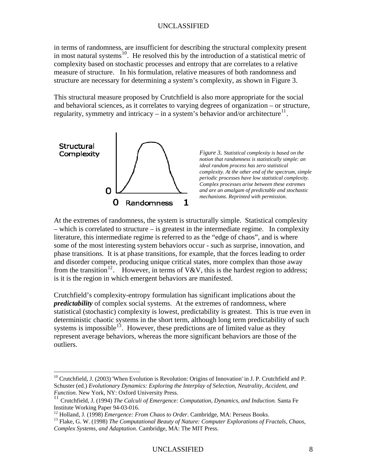in terms of randomness, are insufficient for describing the structural complexity present in most natural systems<sup>[10](#page-8-0)</sup>. He resolved this by the introduction of a statistical metric of complexity based on stochastic processes and entropy that are correlates to a relative measure of structure. In his formulation, relative measures of both randomness and structure are necessary for determining a system's complexity, as shown in Figure 3.

This structural measure proposed by Crutchfield is also more appropriate for the social and behavioral sciences, as it correlates to varying degrees of organization – or structure, regularity, symmetry and intricacy – in a system's behavior and/or architecture $^{11}$  $^{11}$  $^{11}$ .



 $\overline{a}$ 

*Figure 3. Statistical complexity is based on the notion that randomness is statistically simple: an ideal random process has zero statistical complexity. At the other end of the spectrum, simple periodic processes have low statistical complexity. Complex processes arise between these extremes and are an amalgam of predictable and stochastic mechanisms. Reprinted with permission*.

At the extremes of randomness, the system is structurally simple. Statistical complexity – which is correlated to structure – is greatest in the intermediate regime. In complexity literature, this intermediate regime is referred to as the "edge of chaos", and is where some of the most interesting system behaviors occur - such as surprise, innovation, and phase transitions. It is at phase transitions, for example, that the forces leading to order and disorder compete, producing unique critical states, more complex than those away from the transition<sup>[12](#page-8-2)</sup>. However, in terms of V&V, this is the hardest region to address; is it is the region in which emergent behaviors are manifested.

Crutchfield's complexity-entropy formulation has significant implications about the *predictability* of complex social systems. At the extremes of randomness, where statistical (stochastic) complexity is lowest, predictability is greatest. This is true even in deterministic chaotic systems in the short term, although long term predictability of such systems is impossible<sup>[13](#page-8-3)</sup>. However, these predictions are of limited value as they represent average behaviors, whereas the more significant behaviors are those of the outliers.

<span id="page-8-0"></span><sup>&</sup>lt;sup>10</sup> Crutchfield, J. (2003) 'When Evolution is Revolution: Origins of Innovation' in J. P. Crutchfield and P. Schuster (ed.) *Evolutionary Dynamics: Exploring the Interplay of Selection, Neutrality, Accident, and Function*. New York, NY: Oxford University Press.

<span id="page-8-1"></span><sup>&</sup>lt;sup>11</sup> Crutchfield, J. (1994) *The Calculi of Emergence: Computation, Dynamics, and Induction.* Santa Fe Institute Working Paper 94-03-016.<br><sup>12</sup> Holland, J. (1998) *Emergence: From Chaos to Order*. Cambridge, MA: Perseus Books.

<span id="page-8-2"></span>

<span id="page-8-3"></span><sup>&</sup>lt;sup>13</sup> Flake, G. W. (1998) *The Computational Beauty of Nature: Computer Explorations of Fractals, Chaos, Complex Systems, and Adaptation*. Cambridge, MA: The MIT Press.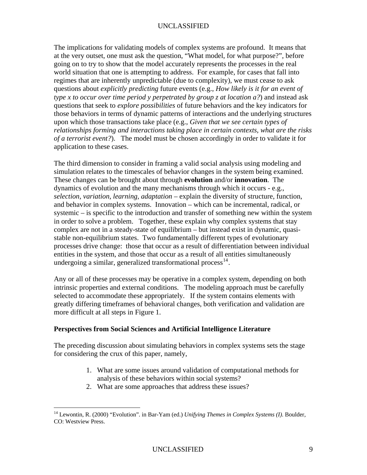The implications for validating models of complex systems are profound. It means that at the very outset, one must ask the question, "What model, for what purpose?", before going on to try to show that the model accurately represents the processes in the real world situation that one is attempting to address. For example, for cases that fall into regimes that are inherently unpredictable (due to complexity), we must cease to ask questions about *explicitly predicting* future events (e.g., *How likely is it for an event of type x to occur over time period y perpetrated by group z at location a?*) and instead ask questions that seek to *explore possibilities* of future behaviors and the key indicators for those behaviors in terms of dynamic patterns of interactions and the underlying structures upon which those transactions take place (e.g., *Given that we see certain types of relationships forming and interactions taking place in certain contexts, what are the risks of a terrorist event?*). The model must be chosen accordingly in order to validate it for application to these cases.

The third dimension to consider in framing a valid social analysis using modeling and simulation relates to the timescales of behavior changes in the system being examined. These changes can be brought about through **evolution** and/or **innovation**. The dynamics of evolution and the many mechanisms through which it occurs - e.g., *selection, variation, learning, adaptation* – explain the diversity of structure, function, and behavior in complex systems. Innovation – which can be incremental, radical, or systemic – is specific to the introduction and transfer of something new within the system in order to solve a problem. Together, these explain why complex systems that stay complex are not in a steady-state of equilibrium – but instead exist in dynamic, quasistable non-equilibrium states. Two fundamentally different types of evolutionary processes drive change: those that occur as a result of differentiation between individual entities in the system, and those that occur as a result of all entities simultaneously undergoing a similar, generalized transformational process<sup>[14](#page-9-0)</sup>.

Any or all of these processes may be operative in a complex system, depending on both intrinsic properties and external conditions. The modeling approach must be carefully selected to accommodate these appropriately. If the system contains elements with greatly differing timeframes of behavioral changes, both verification and validation are more difficult at all steps in Figure 1.

## **Perspectives from Social Sciences and Artificial Intelligence Literature**

The preceding discussion about simulating behaviors in complex systems sets the stage for considering the crux of this paper, namely,

- 1. What are some issues around validation of computational methods for analysis of these behaviors within social systems?
- 2. What are some approaches that address these issues?

<span id="page-9-0"></span><sup>14</sup> Lewontin, R. (2000) "Evolution". in Bar-Yam (ed.) *Unifying Themes in Complex Systems (I)*. Boulder, CO: Westview Press.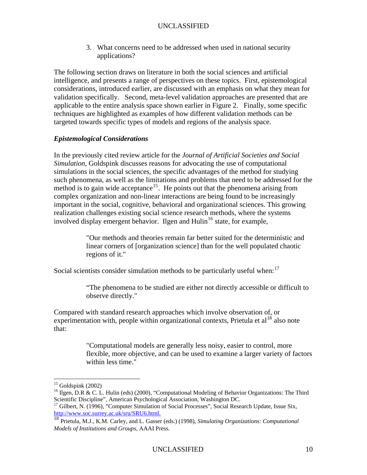3. What concerns need to be addressed when used in national security applications?

The following section draws on literature in both the social sciences and artificial intelligence, and presents a range of perspectives on these topics. First, epistemological considerations, introduced earlier, are discussed with an emphasis on what they mean for validation specifically. Second, meta-level validation approaches are presented that are applicable to the entire analysis space shown earlier in Figure 2. Finally, some specific techniques are highlighted as examples of how different validation methods can be targeted towards specific types of models and regions of the analysis space.

## *Epistemological Considerations*

In the previously cited review article for the *Journal of Artificial Societies and Social Simulation*, Goldspink discusses reasons for advocating the use of computational simulations in the social sciences, the specific advantages of the method for studying such phenomena, as well as the limitations and problems that need to be addressed for the method is to gain wide acceptance<sup>[15](#page-10-0)</sup>. He points out that the phenomena arising from complex organization and non-linear interactions are being found to be increasingly important in the social, cognitive, behavioral and organizational sciences. This growing realization challenges existing social science research methods, where the systems involved display emergent behavior. Ilgen and Hulin<sup>[16](#page-10-1)</sup> state, for example,

> "Our methods and theories remain far better suited for the deterministic and linear corners of [organization science] than for the well populated chaotic regions of it."

Social scientists consider simulation methods to be particularly useful when:  $17$ 

"The phenomena to be studied are either not directly accessible or difficult to observe directly."

Compared with standard research approaches which involve observation of, or experimentation with, people within organizational contexts, Prietula et al<sup>[18](#page-10-3)</sup> also note that:

> "Computational models are generally less noisy, easier to control, more flexible, more objective, and can be used to examine a larger variety of factors within less time."

 $\overline{a}$  $15$  Goldspink (2002)

<span id="page-10-1"></span><span id="page-10-0"></span><sup>&</sup>lt;sup>16</sup> Ilgen, D.R & C. L. Hulin (eds) (2000), "Computational Modeling of Behavior Organizations: The Third Scientific Discipline", American Psychological Association, Washington DC.

<span id="page-10-2"></span><sup>&</sup>lt;sup>17</sup> Gilbert, N. (1996), "Computer Simulation of Social Processes", Social Research Update, Issue Six, http://www.soc.surrey.ac.uk/sru/SRU6.html.

<span id="page-10-3"></span><sup>&</sup>lt;sup>[18](http://www.soc.surrey.ac.uk/sru/SRU6.html)</sup> Prietula, M.J., K.M. Carley, and L. Gasser (eds.) (1998), *Simulating Organizations: Computational Models of Institutions and Groups,* AAAI Press.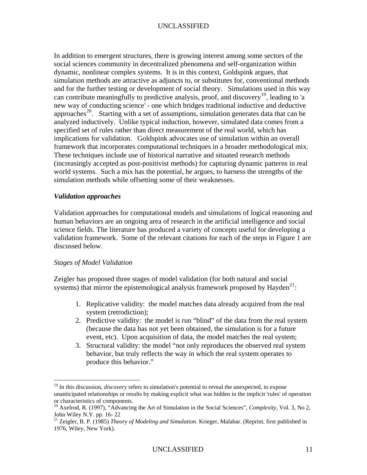In addition to emergent structures, there is growing interest among some sectors of the social sciences community in decentralized phenomena and self-organization within dynamic, nonlinear complex systems. It is in this context, Goldspink argues, that simulation methods are attractive as adjuncts to, or substitutes for, conventional methods and for the further testing or development of social theory. Simulations used in this way can contribute meaningfully to predictive analysis, proof, and discovery<sup>[19](#page-11-0)</sup>, leading to 'a new way of conducting science' - one which bridges traditional inductive and deductive approaches<sup>[20](#page-11-1)</sup>. Starting with a set of assumptions, simulation generates data that can be analyzed inductively. Unlike typical induction, however, simulated data comes from a specified set of rules rather than direct measurement of the real world, which has implications for validation. Goldspink advocates use of simulation within an overall framework that incorporates computational techniques in a broader methodological mix. These techniques include use of historical narrative and situated research methods (increasingly accepted as post-positivist methods) for capturing dynamic patterns in real world systems. Such a mix has the potential, he argues, to harness the strengths of the simulation methods while offsetting some of their weaknesses.

#### *Validation approaches*

Validation approaches for computational models and simulations of logical reasoning and human behaviors are an ongoing area of research in the artificial intelligence and social science fields. The literature has produced a variety of concepts useful for developing a validation framework. Some of the relevant citations for each of the steps in Figure 1 are discussed below.

#### *Stages of Model Validation*

<u>.</u>

Zeigler has proposed three stages of model validation (for both natural and social systems) that mirror the epistemological analysis framework proposed by Hayden<sup>[21](#page-11-2)</sup>:

- 1. Replicative validity: the model matches data already acquired from the real system (retrodiction);
- 2. Predictive validity: the model is run "blind" of the data from the real system (because the data has not yet been obtained, the simulation is for a future event, etc). Upon acquisition of data, the model matches the real system;
- 3. Structural validity: the model "not only reproduces the observed real system behavior, but truly reflects the way in which the real system operates to produce this behavior."

<span id="page-11-0"></span><sup>&</sup>lt;sup>19</sup> In this discussion, *discovery* refers to simulation's potential to reveal the unexpected, to expose unanticipated relationships or results by making explicit what was hidden in the implicit 'rules' of operation or characteristics of components.

<span id="page-11-1"></span><sup>20</sup> Axelrod, R. (1997), "Advancing the Art of Simulation in the Social Sciences", *Complexity,* Vol. 3, No 2, John Wiley N.Y. pp. 16- 22

<span id="page-11-2"></span><sup>21</sup> Zeigler, B. P. (1985) *Theory of Modeling and Simulation*. Krieger, Malabar. (Reprint, first published in 1976, Wiley, New York).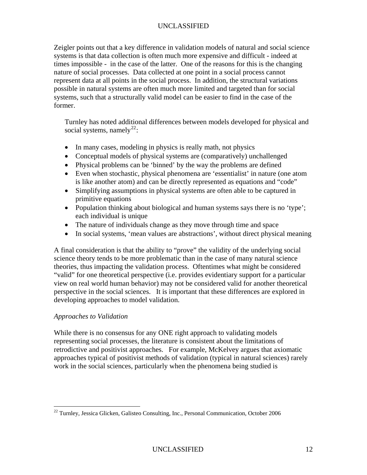Zeigler points out that a key difference in validation models of natural and social science systems is that data collection is often much more expensive and difficult - indeed at times impossible - in the case of the latter. One of the reasons for this is the changing nature of social processes. Data collected at one point in a social process cannot represent data at all points in the social process. In addition, the structural variations possible in natural systems are often much more limited and targeted than for social systems, such that a structurally valid model can be easier to find in the case of the former.

Turnley has noted additional differences between models developed for physical and social systems, namely<sup>[22](#page-12-0)</sup>:

- In many cases, modeling in physics is really math, not physics
- Conceptual models of physical systems are (comparatively) unchallenged
- Physical problems can be 'binned' by the way the problems are defined
- Even when stochastic, physical phenomena are 'essentialist' in nature (one atom is like another atom) and can be directly represented as equations and "code"
- Simplifying assumptions in physical systems are often able to be captured in primitive equations
- Population thinking about biological and human systems says there is no 'type'; each individual is unique
- The nature of individuals change as they move through time and space
- In social systems, 'mean values are abstractions', without direct physical meaning

A final consideration is that the ability to "prove" the validity of the underlying social science theory tends to be more problematic than in the case of many natural science theories, thus impacting the validation process. Oftentimes what might be considered "valid" for one theoretical perspective (i.e. provides evidentiary support for a particular view on real world human behavior) may not be considered valid for another theoretical perspective in the social sciences. It is important that these differences are explored in developing approaches to model validation.

## *Approaches to Validation*

1

While there is no consensus for any ONE right approach to validating models representing social processes, the literature is consistent about the limitations of retrodictive and positivist approaches. For example, McKelvey argues that axiomatic approaches typical of positivist methods of validation (typical in natural sciences) rarely work in the social sciences, particularly when the phenomena being studied is

<span id="page-12-1"></span><span id="page-12-0"></span> $22$  Turnley, Jessica Glicken, Galisteo Consulting, Inc., Personal Communication, October 2006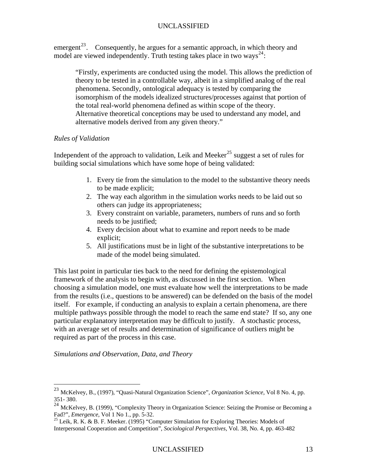emergent<sup>[23](#page-12-1)</sup>. Consequently, he argues for a semantic approach, in which theory and model are viewed independently. Truth testing takes place in two ways<sup>24</sup>:

"Firstly, experiments are conducted using the model. This allows the prediction of theory to be tested in a controllable way, albeit in a simplified analog of the real phenomena. Secondly, ontological adequacy is tested by comparing the isomorphism of the models idealized structures/processes against that portion of the total real-world phenomena defined as within scope of the theory. Alternative theoretical conceptions may be used to understand any model, and alternative models derived from any given theory."

#### *Rules of Validation*

Independent of the approach to validation, Leik and Meeker<sup>[25](#page-13-0)</sup> suggest a set of rules for building social simulations which have some hope of being validated:

- 1. Every tie from the simulation to the model to the substantive theory needs to be made explicit;
- 2. The way each algorithm in the simulation works needs to be laid out so others can judge its appropriateness;
- 3. Every constraint on variable, parameters, numbers of runs and so forth needs to be justified;
- 4. Every decision about what to examine and report needs to be made explicit;
- 5. All justifications must be in light of the substantive interpretations to be made of the model being simulated.

This last point in particular ties back to the need for defining the epistemological framework of the analysis to begin with, as discussed in the first section. When choosing a simulation model, one must evaluate how well the interpretations to be made from the results (i.e., questions to be answered) can be defended on the basis of the model itself. For example, if conducting an analysis to explain a certain phenomena, are there multiple pathways possible through the model to reach the same end state? If so, any one particular explanatory interpretation may be difficult to justify. A stochastic process, with an average set of results and determination of significance of outliers might be required as part of the process in this case.

#### *Simulations and Observation, Data, and Theory*

<sup>23</sup> McKelvey, B., (1997), "Quasi-Natural Organization Science", *Organization Science*, Vol 8 No. 4, pp. 351- 380.

<sup>24</sup> McKelvey, B. (1999), "Complexity Theory in Organization Science: Seizing the Promise or Becoming a Fad?", *Emergence*, Vol 1 No 1., pp. 5-32.<br><sup>25</sup> Leik, R. K. & B. F. Meeker. (1995) "Computer Simulation for Exploring Theories: Models of

<span id="page-13-0"></span>Interpersonal Cooperation and Competition", *Sociological Perspectives,* Vol. 38, No. 4, pp. 463-482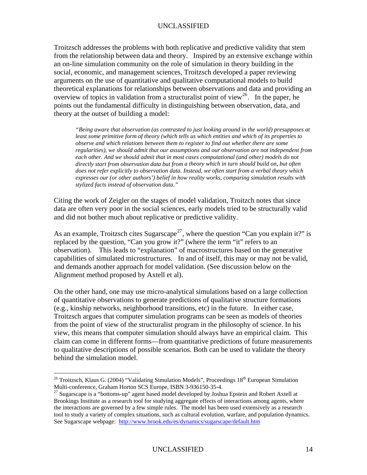Troitzsch addresses the problems with both replicative and predictive validity that ste m from the relationship between data and theory. Inspired by an extensive exchange within an on-line simulation community on the role of simulation in theory building in the social, economic, and management sciences, Troitzsch developed a paper reviewing arguments on the use of quantitative and qualitative computational models to build theoretical explanations for relationships between observations and data and providing an overview of topics in validation from a structuralist point of view<sup>26</sup>. In the paper, he points o ut the fundamental difficulty in distinguishing between observation, data, and theory at the outset of building a model:

directly start from observation data but from a theory which in turn should build on, but often *"Being aware that observation (as contrasted to just looking around in the world) presupposes at least some primitive form of theory (which tells us which entities and which of its properties to observe and which relations between them to register to find out whether there are some regularities), we should admit that our assumptions and our observation are not independent from each other. And we should admit that in most cases computational (and other) models do not does not refer explicitly to observation data. Instead, we often start from a verbal theory which expresses our (or other authors') belief in how reality works, comparing simulation results with stylized facts instead of observation data."* 

Citing the work of Zeigler on the stages of model validation, Troitzch notes that since data are often very poor in the social sciences, early models tried to be structurally valid and did not bother much about replicative or predictive validity.

observation). This leads to "explanation" of macrostructures based on the generative capabilities of simulated microstructures. In and of itself, this may or may not be valid, As an example, Troitzsch cites Sugarscape<sup>[27](#page-14-0)</sup>, where the question "Can you explain it?" is replaced by the question, "Can you grow it?" (where the term "it" refers to an and demands another approach for model validation. (See discussion below on the Alignment method proposed by Axtell et al).

view, this means that computer simulation should always have an empirical claim. This claim can come in different forms—from quantitative predictions of future measurements On the other hand, one may use micro-analytical simulations based on a large collection of quantitative observations to generate predictions of qualitative structure formations (e.g., kinship networks, neighborhood transitions, etc) in the future. In either case, Troitzsch argues that computer simulation programs can be seen as models of theories from the point of view of the structuralist program in the philosophy of science. In his to qualitative descriptions of possible scenarios. Both can be used to validate the theory behind the simulation model.

1

<sup>&</sup>lt;sup>26</sup> Troitzsch, Klaus G. (2004) "Validating Simulation Models", Proceedings  $18<sup>th</sup>$  European Simulation Multi-conference, Graham Horton SCS Europe, ISBN 3-936150-35-4.

<span id="page-14-0"></span> $^{27}$  Sugarscape is a "bottoms-up" agent based model developed by Joshua Epstein and Robert Axtell at Brookings Institute as a research tool for studying aggregate effects of interactions among agents, where the interactions are governed by a few simple rules. The model has been used extensively as a research tool to study a variety of complex situations, such as cultural evolution, warfare, and population dynamics. See Sugarscape webpage: <http://www.brook.edu/es/dynamics/sugarscape/default.htm>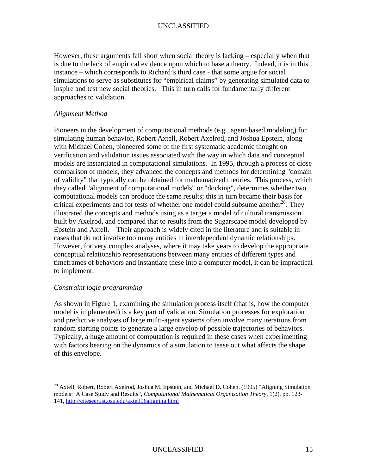However, these arguments fall short when social theory is lacking – especially when that is due to the lack of empirical evidence upon which to base a theory. Indeed, it is in this instance – which correspo nds to Richard's third case - that some argue for social simulations to serve as substitutes for "empirical claims" by generating simulated data to inspire and test new social theories. This in turn calls for fundamentally different approaches to validation.

### *Alignment Method*

comparison of models, they advanced the concepts and methods for determining "domain of validity" that typically can be obtained for mathematized theories. This process, which However, for very complex analyses, where it may take years to develop the appropriate onceptual relationship representations between many entities of different types and c timeframes of behaviors and instantiate these into a computer model, it can be impractical to implement. Pioneers in the development of computational methods (e.g., agent-based modeling) for simulating human behavior, Robert Axtell, Robert Axelrod, and Joshua Epstein, along with Michael Cohen, pioneered some of the first systematic academic thought on verification and validation issues associated with the way in which data and conceptual models are instantiated in computational simulations. In 1995, through a process of close they called "alignment of computational models" or "docking", determines whether two computational models can produce the same results; this in turn became their basis for critical experiments and for tests of whether one model could subsume another<sup>[28](#page-15-0)</sup>. They illustrated the concepts and methods using as a target a model of cultural transmission built by Axelrod, and compared that to results from the Sugarscape model developed by Epstein and Axtell. Their approach is widely cited in the literature and is suitable in cases that do not involve too many entities in interdependent dynamic relationships.

#### *Constraint logic programming*

 $\overline{a}$ 

random starting points to generate a large envelop of possible trajectories of behaviors. Typically, a huge amount of computation is required in these cases when experimenting As shown in Figure 1, examining the simulation process itself (that is, how the computer model is implemented) is a key part of validation. Simulation processes for exploration and predictive analyses of large multi-agent systems often involve many iterations from with factors bearing on the dynamics of a simulation to tease out what affects the shape of this envelope.

<span id="page-15-0"></span> $^{28}$  Axtell, Robert, Robert Axelrod, Joshua M. Epstein, and Michael D. Cohen, (1995) "Aligning Simulation models: A Case Study and Results", *Computational Mathematical Organization Theory*, 1(2), pp. 123- 141, [http://citeseer.ist.psu.edu/axtell96aligning.html](http://citeseer.ist.psu.edu/axtell96aligning.html.)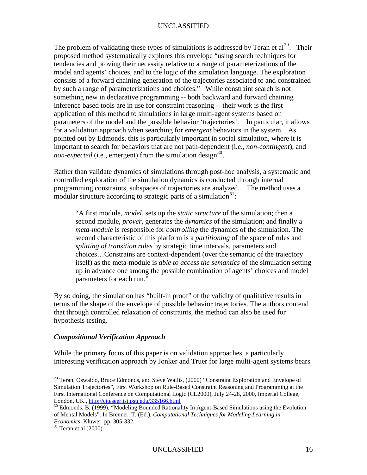The problem of validating these types of simulations is addressed by Teran et  $al^{29}$  $al^{29}$  $al^{29}$ . Their proposed method systematically explores this envelope "using search techniques fo r tendencies and proving their necessity relative to a range of parameterizations of the model and agents' choices, and to the logic of the simulation language. The expl oration consists of a forward chaining generation of the trajectories associated to and con strained by such a range of parameterizations and choices." While constraint search is not something new in declarative programming -- both backward and forward chaining inference based tools are in use for constraint reasoning -- their work is the first application of this method to simulations in large multi-agent systems based on parameters of the model and the possible behavior 'trajectori es'. In particular, it allows for a validation approach when searching for *emergent* behaviors in the system. As important to search for behaviors that are not path-dependent (i.e., *non-contingent*), and pointed out by Edmonds, this is particularly important in social simulation, where it is *non-expected* (i.e., emergent) from the simulation design<sup>[30](#page-16-1)</sup>.

Rather than validate dynamics of simulations through post-hoc analysis, a systematic and control led exploration of the simulation dynamics is conducted through internal program ming constraints, subspaces of trajectories are analyzed. The method uses a  $r_{\text{modular}}$  structure according to strategic parts of a simulation<sup>31</sup>:

"A first module, *model*, sets up the *static structure* of the simulation; then a splitting of transition rules by strategic time intervals, parameters and hoices…Constrains are context-dependent (over the semantic of the trajectory c itself) as the meta-module is *able to access the semantics* of the simulation setting second module, *prover*, generates the *dynamics* of the simulation; and finally a *meta-module* is responsible for *controlling* the dynamics of the simulation. The second characteristic of this platform is a *partitioning* of the space of rules and up in advance one among the possible combination of agents' choices and model parameters for each run."

By so doing, the simulation has "built-in proof" of the validity of qualitative results in terms of the shape of the envelope of possible behavior trajectories. The authors contend that through controlled relaxation of constraints, the method can also be used for hypothesis testing.

### *Compositional Verification Approach*

 $\overline{a}$ 

interesting verification approach by Jonker and Truer for large multi-agent systems bears While the primary focus of this paper is on validation approaches, a particularly

<span id="page-16-0"></span> $29$  Teran, Oswaldo, Bruce Edmonds, and Steve Wallis, (2000) "Constraint Exploration and Envelope of First International Conference on Computational Logic (CL2000), July 24-28, 2000, Imperial College, London, UK., http://citeseer.ist.psu.edu/335166.html Simulation Trajectories", First Workshop on Rule-Based Constraint Reasoning and Programming at the

<sup>&</sup>lt;sup>30</sup> Edmonds, B. (1999), "Modeling Bounded Rationality In Agent-Based Simulations using the Evolution of Mental Models". In Brenner, T. (Ed.), *Computational Techniques for Modeling Learning in Economics*, Kluwer, pp. 305-332.

<span id="page-16-1"></span> $31$  Teran et al (2000).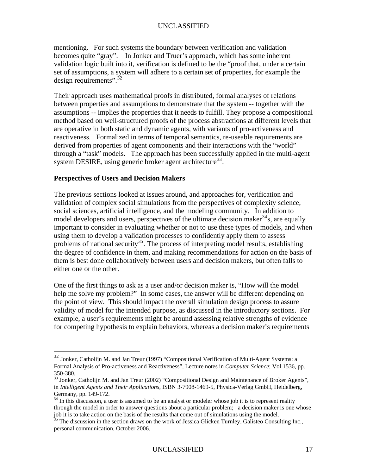mentioning. For such systems the boundary between verification and validation becomes quite "gray". In Jonker and Truer's approach, which has some inherent validation logic built into it, verification is defined to be the "proof that, under a certain set of assumptions, a system will adhere to a certain set of properties, for example the [d](#page-17-0)esign requirements".  $32$ 

[between properties and assumptions to demonstrate that the system -- together with th](#page-17-0)e [method based on well-structured proofs of the process abstra](#page-17-0)ctions at different levels that are operative in both static and dynamic agents, with variants of pro-activeness and reactiveness. Formalized in terms of temporal semantics, re-useable requirements are derived from properties of agent components and their interactions with the "world" through a "task" models. The approach has been successfully applied in the multi-agent [Their approach uses mathematical proofs in distributed, formal analyses of relations](#page-17-0)  [assumptions -- implies the properties that it needs to fulfill. They propose a compositional](#page-17-0) system DESIRE, using generic broker agent architecture<sup>[33](#page-17-1)</sup>.

### **Perspectives of Users and Decision Makers**

 $\overline{a}$ 

The previous sections looked at issues around, and approaches for, verification and important to consider in evaluating whether or not to use these types of models, and when using them to develop a validation processes to confidently apply them to assess the degree of confidence in them, and making recommendations for action on the basis of validation of complex social simulations from the perspectives of complexity science, social sciences, artificial intelligence, and the modeling community. In addition to model developers and users, perspectives of the ultimate decision maker  $34$  s, are equally problems of national security<sup>35</sup>. The process of interpreting model results, establishing them is best done collaboratively between users and decision makers, but often falls to either one or the other.

the point of view. This should impact the overall simulation design process to assure validity of model for the intended purpose, as discussed in the introductory sections. For example, a user's requirements might be around assessing relative strengths of evidence for competing hypothesis to explain behaviors, whereas a decision maker's requirements One of the first things to ask as a user and/or decision maker is, "How will the model help me solve my problem?" In some cases, the answer will be different depending on

 $32$  Jonker, Catholijn M. and Jan Treur (1997) "Compositional Verification of Multi-Agent Systems: a Formal Analysis of Pro-activeness and Reactiveness", Lecture notes in *Computer Science*; Vol 1536, pp. 350-380.

<span id="page-17-0"></span> $33$  Jonker, Catholijn M. and Jan Treur (2002) "Compositional Design and Maintenance of Broker Agents", in *Intelligent Agents and Their Applications*, ISBN 3-7908-1469-5, Physica-Verlag GmbH, Heidelberg, Germany, pp. 149-172.

<span id="page-17-1"></span><sup>&</sup>lt;sup>34</sup> In this discussion, a user is assumed to be an analyst or modeler whose job it is to represent reality through the model in order to answer questions about a particular problem; a decision maker is one whose job it is to take action on the basis of the results that come out of simulations using the model.

<span id="page-17-2"></span><sup>&</sup>lt;sup>35</sup> The discussion in the section draws on the work of Jessica Glicken Turnley, Galisteo Consulting Inc., personal communication, October 2006.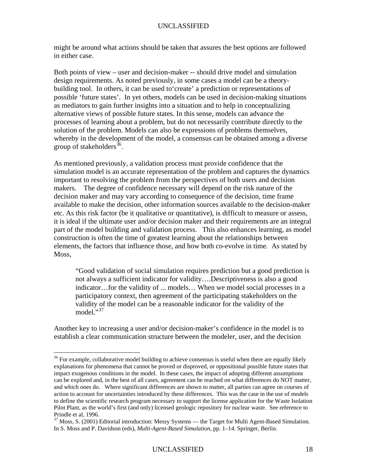might be around what actions should be taken that assures the best options are followed in either case.

Both points of view – user and decision-maker -- should drive model and simulation design requirements. As noted previously, in some cases a model can be a theorybuilding tool. In others, it can be used to create' a prediction or representations of processes of learning about a problem, but do not necessarily contribute directly to the possible 'future states'. In yet others, models can be used in decision-making situations as mediators to gain further insights into a situation and to help in conceptualizing alternative views of possible future states. In this sense, models can advance the solution of the problem. Models can also be expressions of problems themselves, whereby in the development of the model, a consensus can be obtained among a diverse group of stakeholders<sup>36</sup>.

important to resolving the problem from the perspectives of both users and decision makers. The degree of confidence necessary will depend on the risk nature of the decisio n maker and may vary according to consequence of the decision, time frame available to make the decision, other information sources available to the decision-maker etc. As this risk factor (be it qualitative or quantitative), is difficult to measure or assess, it is ideal if the ultimate user and/or decision maker and their requirements are an integral part of the model building and validation process. This also enhances learning, as model construction is often the time of greatest learning about the relationships between elements, the factors that influence those, and how both co-evolve in time. As stated by As mentioned previously, a validation process must provide confidence that the simulation model is an accurate representation of the problem and captures the dynamics Moss,

"Good validation of social simulation requires prediction but a good prediction is not always a sufficient indicator for validity….Descriptiveness is also a good indicator…for the validity of ... models… When we model social processes in a participatory context, then agreement of the participating stakeholders on the validity of the model can be a reasonable indicator for the validity of the  $model<sup>1,37</sup>$ 

Another key to increasing a user and/or decision-maker's confidence in the model is to establish a clear communication structure between the modeler, user, and the decision

 $36$  For example, collaborative model building to achieve consensus is useful when there are equally likely explanations for phenomena that cannot be proved or disproved, or oppositional possible future states that impact exogenous conditions in the model. In these cases, the impact of adopting different assumptions can be explored and, in the best of all cases, agreement can be reached on what differences do NOT matter, and which ones do. Where significant differences are shown to matter, all parties can agree on courses of action to account for uncertainties introduced by these differences. This was the case in the use of models to define the scientific research program necessary to support the license application for the Waste Isolation Pilot Plant, as the world's first (and only) licensed geologic repository for nuclear waste. See reference to Prindle et al, 1996.

<sup>&</sup>lt;sup>37</sup> Moss, S. (2001) Editorial introduction: Messy Systems — the Target for Multi Agent-Based Simulation. In S. Moss and P. Davidson (eds), *Multi-Agent-Based Simulation*, pp. 1–14. Springer, Berlin.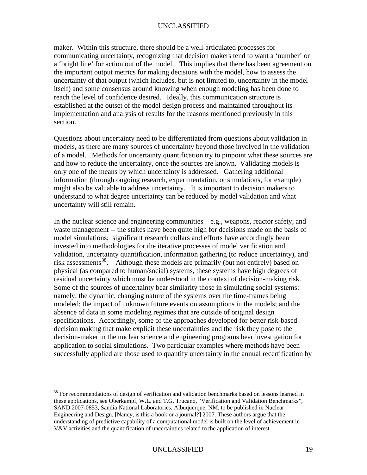maker. Within this structure, there should be a well-articulated processes for communicating uncertainty, recognizing that decision makers tend to want a 'number' or a 'bright line' for action out of the model. This implies that there has been agreement on established at the outset of the model design process and maintained throughout its the important output metrics for making decisions with the model, how to assess the uncertainty of that output (which includes, but is not limited to, uncertainty in the model itself) and some consensus around knowing when enough modeling has been done to reach the level of confidence desired. Ideally, this communication structure is implementation and analysis of results for the reasons mentioned previously in this section.

Questions about uncertainty need to be differentiated from questions about validation in models, as there are many sources of uncertainty beyond those involved in the validation of a model. Methods for uncertainty quantification try to pinpoint what these sources are information (through ongoing research, experimentation, or simulations, for example) and how to reduce the uncertainty, once the sources are known. Validating models is only one of the means by which uncertainty is addressed. Gathering additional might also be valuable to address uncertainty. It is important to decision makers to understand to what degree uncertainty can be reduced by model validation and what uncertainty will still remain.

waste management -- the stakes have been quite high for decisions made on the basis of invested into methodologies for the iterative processes of model verification and validation, uncertainty quantification, information gathering (to reduce uncertainty), and risk assessments<sup>[38](#page-19-0)</sup>. Although these models are primarily (but not entirely) based on absence of data in some modeling regimes that are outside of original design decision-maker in the nuclear science and engineering programs bear investigation for successfully applied are those used to quantify uncertainty in the annual recertification by In the nuclear science and engineering communities – e.g., weapons, reactor safety, and model simulations; significant research dollars and efforts have accordingly been physical (as compared to human/social) systems, these systems have high degrees of residual uncertainty which must be understood in the context of decision-making risk. Some of the sources of uncertainty bear similarity those in simulating social systems: namely, the dynamic, changing nature of the systems over the time-frames being modeled; the impact of unknown future events on assumptions in the models; and the specifications. Accordingly, some of the approaches developed for better risk-based decision making that make explicit these uncertainties and the risk they pose to the application to social simulations. Two particular examples where methods have been

<span id="page-19-0"></span><sup>&</sup>lt;sup>38</sup> For recommendations of design of verification and validation benchmarks based on lessons learned in these applications, see Oberkampf, W.L. and T.G. Trucano, "Verification and Validation Benchmarks", SAND 2007-0853, Sandia National Laboratories, Albuquerque, NM, to be published in Nuclear Engineering and Design, [Nancy, is this a book or a journal?] 2007. These authors argue that the understanding of predictive capability of a computational model is built on the level of achievement in V&V activities and the quantification of uncertainties related to the application of interest.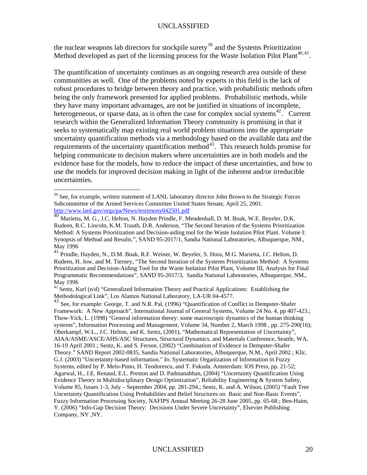the nuclear weapons lab directors for stockpile surety<sup>39</sup> and the Systems Prioritization Method developed as part of the licensing process for the Waste Isolation Pilot Plant<sup>[40](#page-20-0),[41](#page-20-1)</sup>.

robust procedures to bridge between theory and practice, with probabilistic methods often heterogeneous, or sparse data, as is often the case for complex social systems<sup>[42](#page-20-1)</sup>. Current evidence base for the models, how to reduce the impact of these uncertainties, and how to use the models for improved decision making in light of the inherent and/or irreducible uncertainties. The quantification of uncertainty continues as an ongoing research area outside of these communities as well. One of the problems noted by experts in this field is the lack of being the only framework presented for applied problems. Probabilistic methods, while they have many important advantages, are not be justified in situations of incomplete, research within the Generalized Information Theory community is promising in that it seeks to systematically map existing real world problem situations into the appropriate uncertainty quantification methods via a methodology based on the available data and the requirements of the uncertainty quantification method<sup>[43](#page-20-1)</sup>. This research holds promise for helping communicate to decision makers where uncertainties are in both models and the

 $\overline{a}$ 

<sup>&</sup>lt;sup>39</sup> See, for example, written statement of LANL laboratory director John Brown to the Strategic Forces Subcommittee of the Armed Services Committee United States Senate, April 25, 2001. http://www.lanl.gov/orgs/pa/News/testimony042501.pdf

<sup>40</sup> Marietta, M. G., J.C. Helton, N. Hayden Prindle, F. Mendenhall, D. M. Boak, W.E. Beyeler, D.K. Rudeen, R.C. Lincoln, K.M. Trauth, D.R. Anderson, "The Second Iteration of the Systems Prioritization Method: A Systems Prioritization and Decision-aiding tool for the Waste Isolation Pilot Plant. Volume I: Synopsis of Method and Results.", SAND 95-2017/1, Sandia National Laboratories, Albuquerque, NM., May 1996

<sup>41</sup> Prindle, Hayden, N., D.M. Boak, R.F. Weiner, W. Beyeler, S. Hora, M.G. Marietta, J.C. Helton, D. Rudeen, H. Jow, and M. Tierney, "The Second Iteration of the Systems Prioritization Method: A Systems Prioritization and Decision-Aiding Tool for the Waste Isolation Pilot Plant, Volume III, Analysis for Final Programmatic Recommendations", SAND 95-2017/3, Sandia National Laboratories, Albuquerque, NM., May 1996

<span id="page-20-0"></span><sup>&</sup>lt;sup>42</sup> Sentz, Karl (n/d) "Generalized Information Theory and Practical Applications: Establishing the Methodological Link", Los Alamos National Laboratory, LA-UR 04-4577.

<span id="page-20-1"></span><sup>&</sup>lt;sup>43</sup> See, for example: George, T. and N.R. Pal, (1996) "Quantification of Conflict in Dempster-Shafer Framework: A New Approach", International Journal of General Systems, Volume 24 No. 4, pp 407-423.; Thow-Yick, L. (1998) "General information theory: some macroscopic dynamics of the human thinking systems", Information Processing and Management, Volume 34, Number 2, March 1998, pp. 275-290(16); Oberkampf, W.L., J.C. Helton, and K. Sentz, (2001), "Mathematical Representation of Uncertainty", AIAA/ASME/ASCE/AHS/ASC Structures, Structural Dynamics, and Materials Conference, Seattle, WA, 16-19 April 2001.; Sentz, K. and S. Ferson. (2002) "Combination of Evidence in Dempster-Shafer Theory." SAND Report 2002-0835, Sandia National Laboratories, Albuquerque, N.M., April 2002.; Klir, G.J. (2003) "Uncertainty-based information." In: Systematic Organization of Information in Fuzzy Systems, edited by P. Melo-Pinto, H. Teodorescu, and T. Fukuda. Amsterdam: IOS Press, pp. 21-52; Agarwal, H., J.E. Renaud, E.L. Preston and D. Padmanabhan, (2004) "Uncertainty Quantification Using Evidence Theory in Multidisciplinary Design Optimization", Reliability Engineering & System Safety, Volume 85, Issues 1-3, July – September 2004, pp. 281-294.; Sentz, K. and A. Wilson, (2005) "Fault Tree Uncertainty Quantification Using Probabilities and Belief Structures on Basic and Non-Basic Events", Fuzzy Information Processing Society, NAFIPS Annual Meeting 26-28 June 2005, pp. 65-68.; Ben-Haim, Y. (2006) "Info-Gap Decision Theory: Decisions Under Severe Uncertainty", Elsevier Publishing Company, NY ,NY.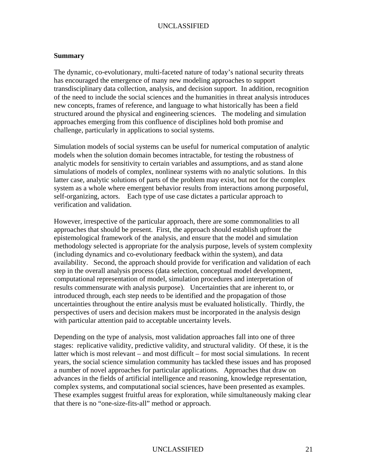#### **Summary**

The dynamic, co-evolutionary, multi-faceted nature of today's national security threats has encouraged the emergence of many new modeling approaches to support transdisciplinary data collection, analysis, and decision support. In addition, recognition of the need to include the social sciences and the humanities in threat analysis introduces new concepts, frames of reference, and language to what historically has been a field structured around the physical and engineering sciences. The modeling and simulation approaches emerging from this confluence of disciplines hold both promise and challenge, particularly in applications to social systems.

Simulation models of social systems can be useful for numerical computation of analytic latter case, analytic solutions of parts of the problem may exist, but not for the complex models when the solution domain becomes intractable, for testing the robustness of analytic models for sensitivity to certain variables and assumptions, and as stand alone simulations of models of complex, nonlinear systems with no analytic solutions. In this system as a whole where emergent behavior results from interactions among purposeful, self-organizing, actors. Each type of use case dictates a particular approach to verification and validation.

However, irrespective of the particular approach, there are some commonalities to all methodology selected is appropriate for the analysis purpose, levels of system complexity (including dynamics and co-evolutionary feedback within the system), and data availability. Second, the approach should provide for verification and validation of each approaches that should be present. First, the approach should establish upfront the epistemological framework of the analysis, and ensure that the model and simulation step in the overall analysis process (data selection, conceptual model development, computational representation of model, simulation procedures and interpretation of results commensurate with analysis purpose). Uncertainties that are inherent to, or introduced through, each step needs to be identified and the propagation of those uncertainties throughout the entire analysis must be evaluated holistically. Thirdly, the perspectives of users and decision makers must be incorporated in the analysis design with particular attention paid to acceptable uncertainty levels.

Depending on the type of analysis, most validation approaches fall into one of three latter which is most relevant – and most difficult – for most social simulations. In recent years, the social science simulation community has tackled these issues and has proposed advances in the fields of artificial intelligence and reasoning, knowledge representation, complex systems, and computational social sciences, have been presented as examples. These examples suggest fruitful areas for exploration, while simultaneously making clear stages: replicative validity, predictive validity, and structural validity. Of these, it is the a number of novel approaches for particular applications. Approaches that draw on that there is no "one-size-fits-all" method or approach.